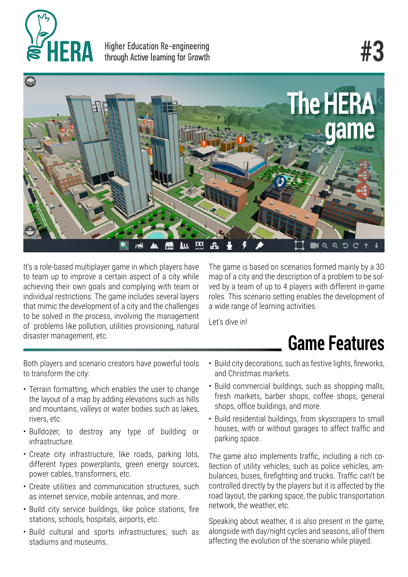

**Higher Education Re-engineering** through Active learning for Growth

# **#3**



It's a role-based multiplayer game in which players have to team up to improve a certain aspect of a city while achieving their own goals and complying with team or individual restrictions. The game includes several layers that mimic the development of a city and the challenges to be solved in the process, involving the management of problems like pollution, utilities provisioning, natural disaster management, etc.

The game is based on scenarios formed mainly by a 3D map of a city and the description of a problem to be solved by a team of up to 4 players with different in-game roles. This scenario setting enables the development of a wide range of learning activities.

Let's dive in!

# **Game Features**

Both players and scenario creators have powerful tools to transform the city:

- Terrain formatting, which enables the user to change the layout of a map by adding elevations such as hills and mountains, valleys or water bodies such as lakes, rivers, etc.
- Bulldozer, to destroy any type of building or infrastructure.
- Create city infrastructure, like roads, parking lots, different types powerplants, green energy sources, power cables, transformers, etc.
- Create utilities and communication structures, such as internet service, mobile antennas, and more.
- Build city service buildings, like police stations, fire stations, schools, hospitals, airports, etc.
- Build cultural and sports infrastructures, such as stadiums and museums.
- Build city decorations, such as festive lights, fireworks, and Christmas markets.
- Build commercial buildings, such as shopping malls, fresh markets, barber shops, coffee shops, general shops, office buildings, and more.
- Build residential buildings, from skyscrapers to small houses, with or without garages to affect traffic and parking space.

The game also implements traffic, including a rich collection of utility vehicles, such as police vehicles, ambulances, buses, firefighting and trucks. Traffic can't be controlled directly by the players but it is affected by the road layout, the parking space, the public transportation network, the weather, etc.

Speaking about weather, it is also present in the game, alongside with day/night cycles and seasons, all of them affecting the evolution of the scenario while played.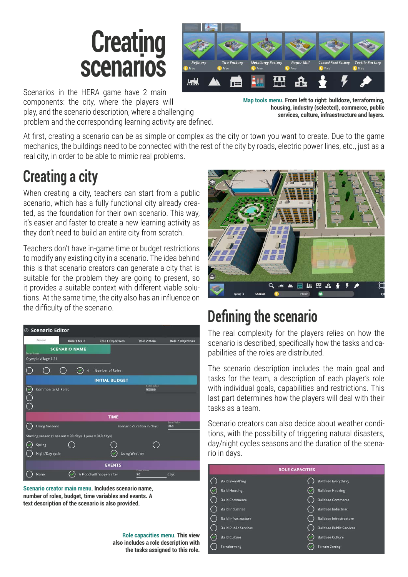



Scenarios in the HERA game have 2 main components: the city, where the players will play, and the scenario description, where a challenging problem and the corresponding learning activity are defined.

**Map tools menu. From left to right: bulldoze, terraforming, housing, industry (selected), commerce, public services, culture, infraestructure and layers.**

At first, creating a scenario can be as simple or complex as the city or town you want to create. Due to the game mechanics, the buildings need to be connected with the rest of the city by roads, electric power lines, etc., just as a real city, in order to be able to mimic real problems.

#### **Creating a city**

When creating a city, teachers can start from a public scenario, which has a fully functional city already created, as the foundation for their own scenario. This way, it's easier and faster to create a new learning activity as they don't need to build an entire city from scratch.

Teachers don't have in-game time or budget restrictions to modify any existing city in a scenario. The idea behind this is that scenario creators can generate a city that is suitable for the problem they are going to present, so it provides a suitable context with different viable solutions. At the same time, the city also has an influence on the difficulty of the scenario.

| <b>Scenario Editor</b><br>⊛                             |                      |                           |                             |                           |  |  |
|---------------------------------------------------------|----------------------|---------------------------|-----------------------------|---------------------------|--|--|
| General                                                 | Role 1 Main          | <b>Role 1 Objectives</b>  | Role 2 Main                 | <b>Role 2 Objectives</b>  |  |  |
| <b>Enter Name</b>                                       | <b>SCENARIO NAME</b> |                           |                             |                           |  |  |
| Olympic village 1.21                                    |                      |                           |                             |                           |  |  |
|                                                         | А                    | <b>Number of Roles</b>    |                             |                           |  |  |
| <b>INITIAL BUDGET</b>                                   |                      |                           |                             |                           |  |  |
| <b>Common to All Roles</b>                              |                      |                           | <b>Enter Value</b><br>50000 |                           |  |  |
|                                                         |                      |                           |                             |                           |  |  |
|                                                         |                      |                           |                             |                           |  |  |
|                                                         |                      | <b>TIME</b>               |                             |                           |  |  |
| <b>Using Seasons</b>                                    |                      |                           | Scenario duration in days   | <b>Enter Value</b><br>360 |  |  |
| Starting season (1 season = 90 days, 1 year = 360 days) |                      |                           |                             |                           |  |  |
| Spring                                                  |                      |                           |                             |                           |  |  |
| Night/Day cycle                                         |                      |                           | <b>Using Weather</b>        |                           |  |  |
|                                                         |                      |                           |                             |                           |  |  |
|                                                         |                      | <b>EVENTS</b>             | <b>Entravalor</b>           |                           |  |  |
| None                                                    |                      | A Flood will happen after | 30                          | days                      |  |  |

**Scenario creator main menu. Includes scenario name, number of roles, budget, time variables and evants. A text description of the scenario is also provided.**

**Role capacities menu. This view also includes a role description with the tasks assigned to this role.**



### **Defining the scenario**

The real complexity for the players relies on how the scenario is described, specifically how the tasks and capabilities of the roles are distributed.

The scenario description includes the main goal and tasks for the team, a description of each player's role with individual goals, capabilities and restrictions. This last part determines how the players will deal with their tasks as a team.

Scenario creators can also decide about weather conditions, with the possibility of triggering natural disasters, day/night cycles seasons and the duration of the scenario in days.

| <b>ROLE CAPACITIES</b> |                              |  |                                 |  |
|------------------------|------------------------------|--|---------------------------------|--|
|                        | <b>Build Everything</b>      |  | <b>Bulldoze Everything</b>      |  |
|                        | <b>Build Housing</b>         |  | <b>Bulldoze Housing</b>         |  |
|                        | <b>Build Commerce</b>        |  | <b>Bulldoze Commerce</b>        |  |
|                        | <b>Build Industries</b>      |  | <b>Bulldoze Industries</b>      |  |
|                        | <b>Build Infrastructure</b>  |  | <b>Bulldoze Infrastructure</b>  |  |
|                        | <b>Build Public Services</b> |  | <b>Bulldoze Public Services</b> |  |
|                        | <b>Build Culture</b>         |  | <b>Bulldoze Culture</b>         |  |
|                        | Terraforming                 |  | <b>Terrain Zoning</b>           |  |